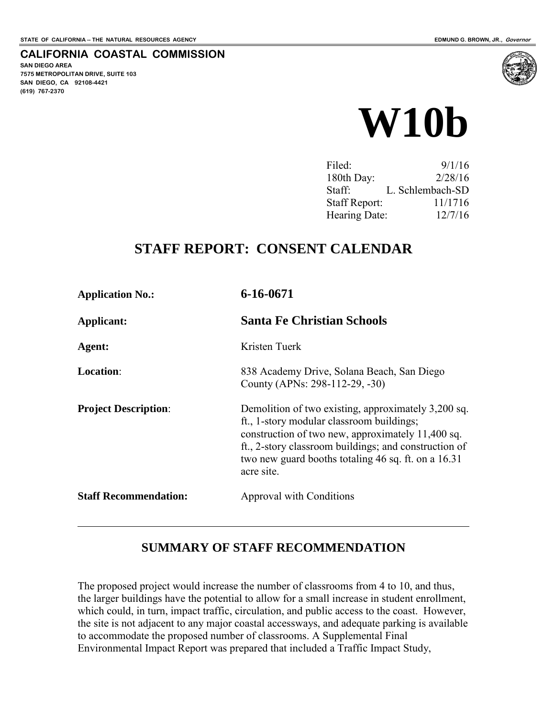#### **CALIFORNIA COASTAL COMMISSION**

**SAN DIEGO AREA 7575 METROPOLITAN DRIVE, SUITE 103 SAN DIEGO, CA 92108-4421 (619) 767-2370**

 $\overline{a}$ 



| Filed:               | 9/1/16           |
|----------------------|------------------|
| 180th Day:           | 2/28/16          |
| Staff:               | L. Schlembach-SD |
| <b>Staff Report:</b> | 11/1716          |
| Hearing Date:        | 12/7/16          |

#### **STAFF REPORT: CONSENT CALENDAR**

| <b>Application No.:</b>      | 6-16-0671                                                                                                                                                                                                                                                                           |
|------------------------------|-------------------------------------------------------------------------------------------------------------------------------------------------------------------------------------------------------------------------------------------------------------------------------------|
| Applicant:                   | <b>Santa Fe Christian Schools</b>                                                                                                                                                                                                                                                   |
| Agent:                       | Kristen Tuerk                                                                                                                                                                                                                                                                       |
| <b>Location:</b>             | 838 Academy Drive, Solana Beach, San Diego<br>County (APNs: 298-112-29, -30)                                                                                                                                                                                                        |
| <b>Project Description:</b>  | Demolition of two existing, approximately 3,200 sq.<br>ft., 1-story modular classroom buildings;<br>construction of two new, approximately 11,400 sq.<br>ft., 2-story classroom buildings; and construction of<br>two new guard booths totaling 46 sq. ft. on a 16.31<br>acre site. |
| <b>Staff Recommendation:</b> | Approval with Conditions                                                                                                                                                                                                                                                            |

#### **SUMMARY OF STAFF RECOMMENDATION**

The proposed project would increase the number of classrooms from 4 to 10, and thus, the larger buildings have the potential to allow for a small increase in student enrollment, which could, in turn, impact traffic, circulation, and public access to the coast. However, the site is not adjacent to any major coastal accessways, and adequate parking is available to accommodate the proposed number of classrooms. A Supplemental Final Environmental Impact Report was prepared that included a Traffic Impact Study,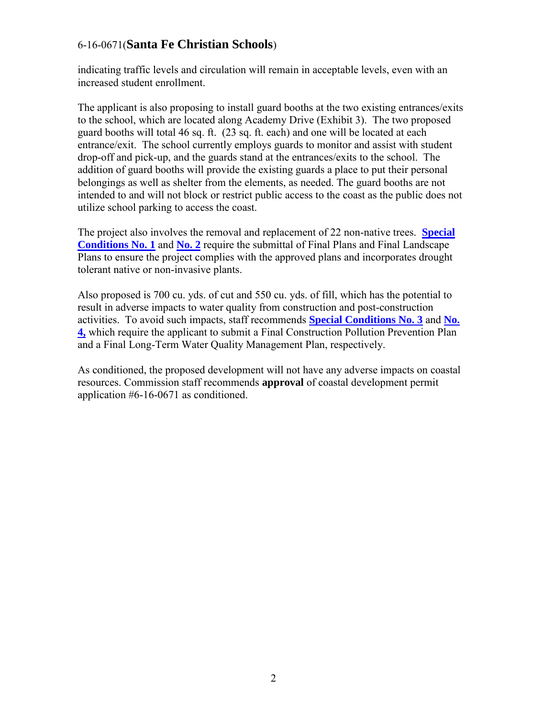indicating traffic levels and circulation will remain in acceptable levels, even with an increased student enrollment.

The applicant is also proposing to install guard booths at the two existing entrances/exits to the school, which are located along Academy Drive (Exhibit 3). The two proposed guard booths will total 46 sq. ft. (23 sq. ft. each) and one will be located at each entrance/exit. The school currently employs guards to monitor and assist with student drop-off and pick-up, and the guards stand at the entrances/exits to the school. The addition of guard booths will provide the existing guards a place to put their personal belongings as well as shelter from the elements, as needed. The guard booths are not intended to and will not block or restrict public access to the coast as the public does not utilize school parking to access the coast.

The project also involves the removal and replacement of 22 non-native trees. **[Special](#page-4-0)  [Conditions No. 1](#page-4-0)** and **No. 2** require the submittal of Final Plans and Final Landscape Plans to ensure the project complies with the approved plans and incorporates drought tolerant native or non-invasive plants.

Also proposed is 700 cu. yds. of cut and 550 cu. yds. of fill, which has the potential to result in adverse impacts to water quality from construction and post-construction activities. To avoid such impacts, staff recommends **Special Conditions No. 3** and **No. 4,** which require the applicant to submit a Final Construction Pollution Prevention Plan and a Final Long-Term Water Quality Management Plan, respectively.

As conditioned, the proposed development will not have any adverse impacts on coastal resources. Commission staff recommends **approval** of coastal development permit application #6-16-0671 as conditioned.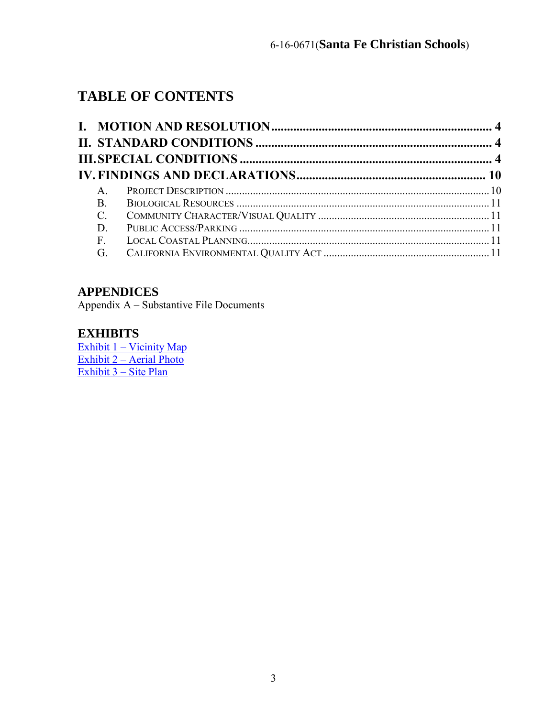### **TABLE OF CONTENTS**

| A.        |  |
|-----------|--|
| <b>B.</b> |  |
| $C$ .     |  |
| D.        |  |
| F.        |  |
| G.        |  |

#### **APPENDICES**

Appendix A – Substantive File Documents

#### **EXHIBITS**

[Exhibit 1 – Vicinity Map](#page-13-0) [Exhibit 2 – Aerial Photo](#page-14-0) [Exhibit 3 – Site Plan](#page-15-0)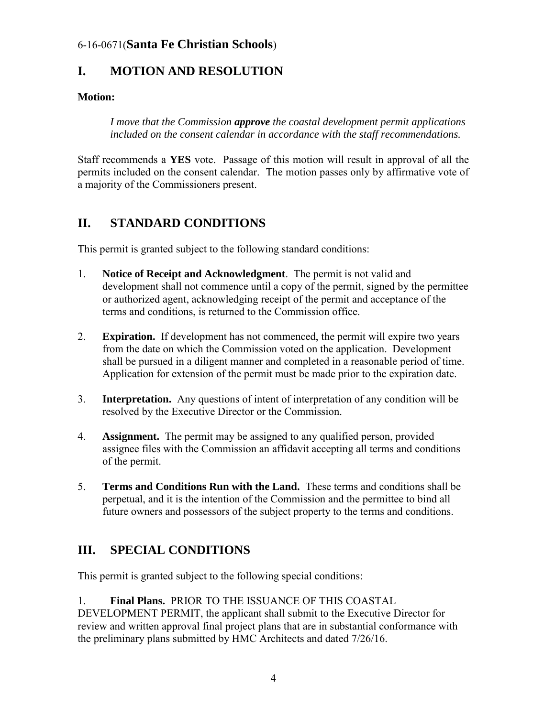#### <span id="page-3-0"></span>**I. MOTION AND RESOLUTION**

#### **Motion:**

*I move that the Commission approve the coastal development permit applications included on the consent calendar in accordance with the staff recommendations.* 

Staff recommends a **YES** vote. Passage of this motion will result in approval of all the permits included on the consent calendar. The motion passes only by affirmative vote of a majority of the Commissioners present.

#### <span id="page-3-1"></span>**II. STANDARD CONDITIONS**

This permit is granted subject to the following standard conditions:

- 1. **Notice of Receipt and Acknowledgment**. The permit is not valid and development shall not commence until a copy of the permit, signed by the permittee or authorized agent, acknowledging receipt of the permit and acceptance of the terms and conditions, is returned to the Commission office.
- 2. **Expiration.** If development has not commenced, the permit will expire two years from the date on which the Commission voted on the application. Development shall be pursued in a diligent manner and completed in a reasonable period of time. Application for extension of the permit must be made prior to the expiration date.
- 3. **Interpretation.** Any questions of intent of interpretation of any condition will be resolved by the Executive Director or the Commission.
- 4. **Assignment.** The permit may be assigned to any qualified person, provided assignee files with the Commission an affidavit accepting all terms and conditions of the permit.
- 5. **Terms and Conditions Run with the Land.** These terms and conditions shall be perpetual, and it is the intention of the Commission and the permittee to bind all future owners and possessors of the subject property to the terms and conditions.

#### <span id="page-3-2"></span>**III. SPECIAL CONDITIONS**

This permit is granted subject to the following special conditions:

<span id="page-3-3"></span>1. **Final Plans.** PRIOR TO THE ISSUANCE OF THIS COASTAL DEVELOPMENT PERMIT, the applicant shall submit to the Executive Director for

review and written approval final project plans that are in substantial conformance with the preliminary plans submitted by HMC Architects and dated 7/26/16.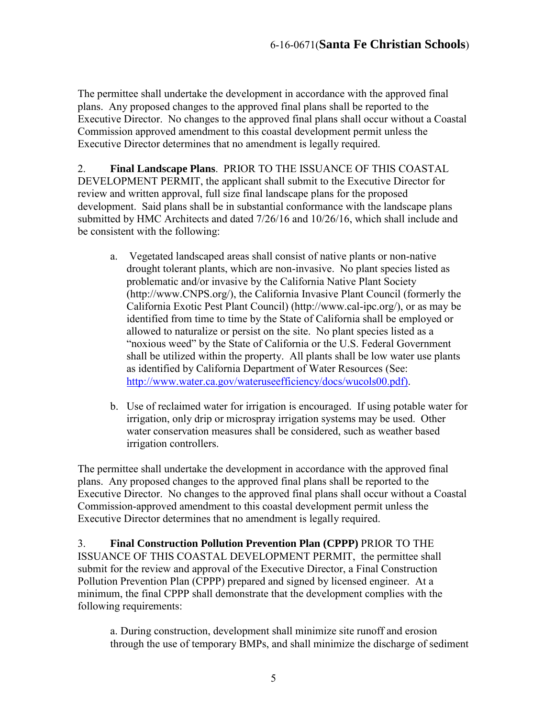The permittee shall undertake the development in accordance with the approved final plans. Any proposed changes to the approved final plans shall be reported to the Executive Director. No changes to the approved final plans shall occur without a Coastal Commission approved amendment to this coastal development permit unless the Executive Director determines that no amendment is legally required.

<span id="page-4-0"></span>2. **Final Landscape Plans**. PRIOR TO THE ISSUANCE OF THIS COASTAL DEVELOPMENT PERMIT, the applicant shall submit to the Executive Director for review and written approval, full size final landscape plans for the proposed development. Said plans shall be in substantial conformance with the landscape plans submitted by HMC Architects and dated 7/26/16 and 10/26/16, which shall include and be consistent with the following:

- a. Vegetated landscaped areas shall consist of native plants or non-native drought tolerant plants, which are non-invasive. No plant species listed as problematic and/or invasive by the California Native Plant Society (http://www.CNPS.org/), the California Invasive Plant Council (formerly the California Exotic Pest Plant Council) (http://www.cal-ipc.org/), or as may be identified from time to time by the State of California shall be employed or allowed to naturalize or persist on the site. No plant species listed as a "noxious weed" by the State of California or the U.S. Federal Government shall be utilized within the property. All plants shall be low water use plants as identified by California Department of Water Resources (See: [http://www.water.ca.gov/wateruseefficiency/docs/wucols00.pdf\)](http://www.water.ca.gov/wateruseefficiency/docs/wucols00.pdf).
- b. Use of reclaimed water for irrigation is encouraged. If using potable water for irrigation, only drip or microspray irrigation systems may be used. Other water conservation measures shall be considered, such as weather based irrigation controllers.

The permittee shall undertake the development in accordance with the approved final plans. Any proposed changes to the approved final plans shall be reported to the Executive Director. No changes to the approved final plans shall occur without a Coastal Commission-approved amendment to this coastal development permit unless the Executive Director determines that no amendment is legally required.

3. **Final Construction Pollution Prevention Plan (CPPP)** PRIOR TO THE ISSUANCE OF THIS COASTAL DEVELOPMENT PERMIT, the permittee shall submit for the review and approval of the Executive Director, a Final Construction Pollution Prevention Plan (CPPP) prepared and signed by licensed engineer. At a minimum, the final CPPP shall demonstrate that the development complies with the following requirements:

a. During construction, development shall minimize site runoff and erosion through the use of temporary BMPs, and shall minimize the discharge of sediment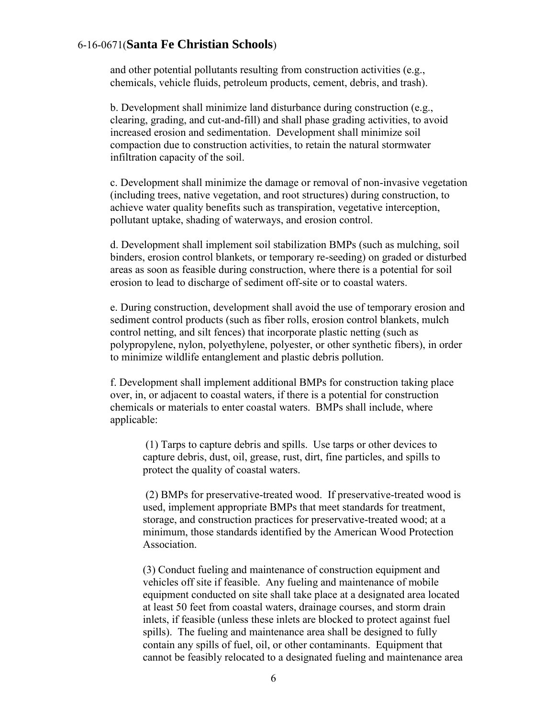and other potential pollutants resulting from construction activities (e.g., chemicals, vehicle fluids, petroleum products, cement, debris, and trash).

b. Development shall minimize land disturbance during construction (e.g., clearing, grading, and cut-and-fill) and shall phase grading activities, to avoid increased erosion and sedimentation. Development shall minimize soil compaction due to construction activities, to retain the natural stormwater infiltration capacity of the soil.

c. Development shall minimize the damage or removal of non-invasive vegetation (including trees, native vegetation, and root structures) during construction, to achieve water quality benefits such as transpiration, vegetative interception, pollutant uptake, shading of waterways, and erosion control.

d. Development shall implement soil stabilization BMPs (such as mulching, soil binders, erosion control blankets, or temporary re-seeding) on graded or disturbed areas as soon as feasible during construction, where there is a potential for soil erosion to lead to discharge of sediment off-site or to coastal waters.

e. During construction, development shall avoid the use of temporary erosion and sediment control products (such as fiber rolls, erosion control blankets, mulch control netting, and silt fences) that incorporate plastic netting (such as polypropylene, nylon, polyethylene, polyester, or other synthetic fibers), in order to minimize wildlife entanglement and plastic debris pollution.

f. Development shall implement additional BMPs for construction taking place over, in, or adjacent to coastal waters, if there is a potential for construction chemicals or materials to enter coastal waters. BMPs shall include, where applicable:

(1) Tarps to capture debris and spills. Use tarps or other devices to capture debris, dust, oil, grease, rust, dirt, fine particles, and spills to protect the quality of coastal waters.

(2) BMPs for preservative-treated wood. If preservative-treated wood is used, implement appropriate BMPs that meet standards for treatment, storage, and construction practices for preservative-treated wood; at a minimum, those standards identified by the American Wood Protection Association.

(3) Conduct fueling and maintenance of construction equipment and vehicles off site if feasible. Any fueling and maintenance of mobile equipment conducted on site shall take place at a designated area located at least 50 feet from coastal waters, drainage courses, and storm drain inlets, if feasible (unless these inlets are blocked to protect against fuel spills). The fueling and maintenance area shall be designed to fully contain any spills of fuel, oil, or other contaminants. Equipment that cannot be feasibly relocated to a designated fueling and maintenance area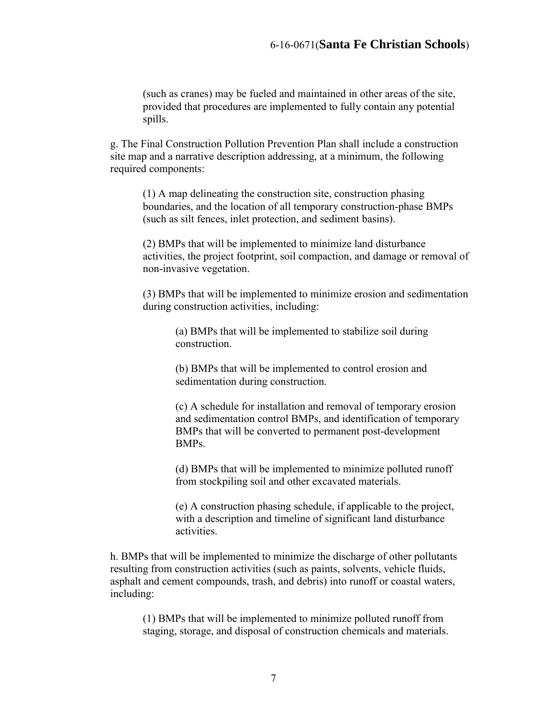(such as cranes) may be fueled and maintained in other areas of the site, provided that procedures are implemented to fully contain any potential spills.

g. The Final Construction Pollution Prevention Plan shall include a construction site map and a narrative description addressing, at a minimum, the following required components:

(1) A map delineating the construction site, construction phasing boundaries, and the location of all temporary construction-phase BMPs (such as silt fences, inlet protection, and sediment basins).

(2) BMPs that will be implemented to minimize land disturbance activities, the project footprint, soil compaction, and damage or removal of non-invasive vegetation.

(3) BMPs that will be implemented to minimize erosion and sedimentation during construction activities, including:

> (a) BMPs that will be implemented to stabilize soil during construction.

> (b) BMPs that will be implemented to control erosion and sedimentation during construction.

(c) A schedule for installation and removal of temporary erosion and sedimentation control BMPs, and identification of temporary BMPs that will be converted to permanent post-development BMPs.

(d) BMPs that will be implemented to minimize polluted runoff from stockpiling soil and other excavated materials.

(e) A construction phasing schedule, if applicable to the project, with a description and timeline of significant land disturbance activities.

h. BMPs that will be implemented to minimize the discharge of other pollutants resulting from construction activities (such as paints, solvents, vehicle fluids, asphalt and cement compounds, trash, and debris) into runoff or coastal waters, including:

(1) BMPs that will be implemented to minimize polluted runoff from staging, storage, and disposal of construction chemicals and materials.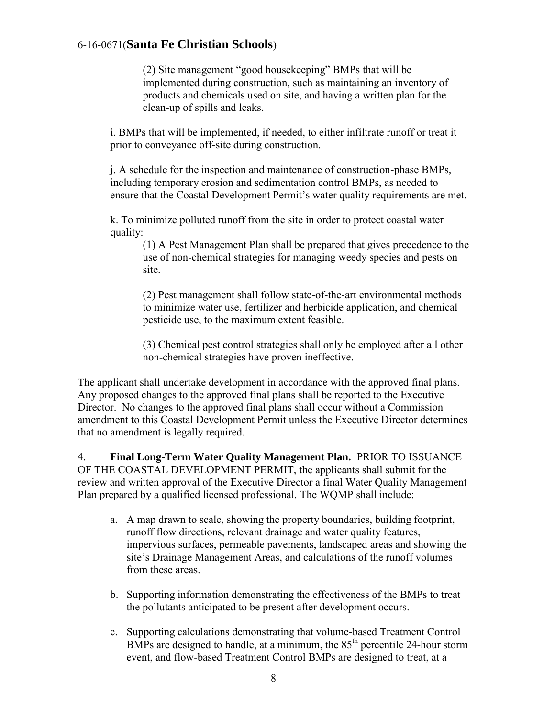(2) Site management "good housekeeping" BMPs that will be implemented during construction, such as maintaining an inventory of products and chemicals used on site, and having a written plan for the clean-up of spills and leaks.

i. BMPs that will be implemented, if needed, to either infiltrate runoff or treat it prior to conveyance off-site during construction.

j. A schedule for the inspection and maintenance of construction-phase BMPs, including temporary erosion and sedimentation control BMPs, as needed to ensure that the Coastal Development Permit's water quality requirements are met.

k. To minimize polluted runoff from the site in order to protect coastal water quality:

(1) A Pest Management Plan shall be prepared that gives precedence to the use of non-chemical strategies for managing weedy species and pests on site.

(2) Pest management shall follow state-of-the-art environmental methods to minimize water use, fertilizer and herbicide application, and chemical pesticide use, to the maximum extent feasible.

(3) Chemical pest control strategies shall only be employed after all other non-chemical strategies have proven ineffective.

The applicant shall undertake development in accordance with the approved final plans. Any proposed changes to the approved final plans shall be reported to the Executive Director. No changes to the approved final plans shall occur without a Commission amendment to this Coastal Development Permit unless the Executive Director determines that no amendment is legally required.

4. **Final Long-Term Water Quality Management Plan.** PRIOR TO ISSUANCE OF THE COASTAL DEVELOPMENT PERMIT, the applicants shall submit for the review and written approval of the Executive Director a final Water Quality Management Plan prepared by a qualified licensed professional. The WQMP shall include:

- a. A map drawn to scale, showing the property boundaries, building footprint, runoff flow directions, relevant drainage and water quality features, impervious surfaces, permeable pavements, landscaped areas and showing the site's Drainage Management Areas, and calculations of the runoff volumes from these areas.
- b. Supporting information demonstrating the effectiveness of the BMPs to treat the pollutants anticipated to be present after development occurs.
- c. Supporting calculations demonstrating that volume-based Treatment Control BMPs are designed to handle, at a minimum, the  $85<sup>th</sup>$  percentile 24-hour storm event, and flow-based Treatment Control BMPs are designed to treat, at a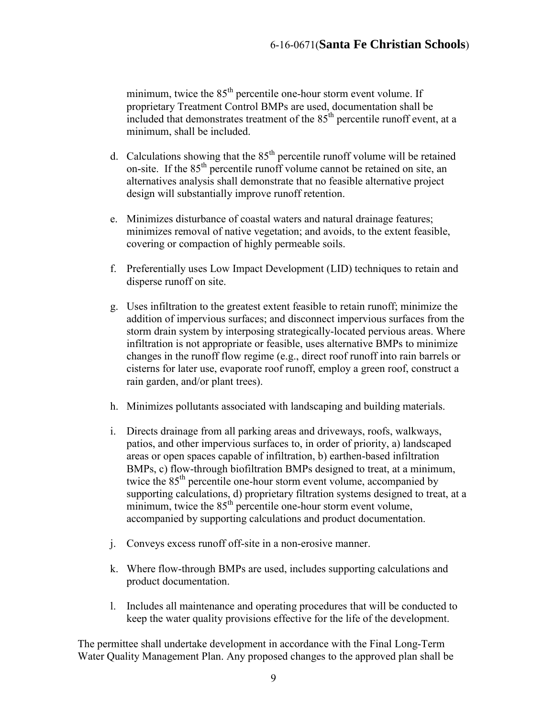minimum, twice the 85<sup>th</sup> percentile one-hour storm event volume. If proprietary Treatment Control BMPs are used, documentation shall be included that demonstrates treatment of the  $85<sup>th</sup>$  percentile runoff event, at a minimum, shall be included.

- d. Calculations showing that the  $85<sup>th</sup>$  percentile runoff volume will be retained on-site. If the 85<sup>th</sup> percentile runoff volume cannot be retained on site, an alternatives analysis shall demonstrate that no feasible alternative project design will substantially improve runoff retention.
- e. Minimizes disturbance of coastal waters and natural drainage features; minimizes removal of native vegetation; and avoids, to the extent feasible, covering or compaction of highly permeable soils.
- f. Preferentially uses Low Impact Development (LID) techniques to retain and disperse runoff on site.
- g. Uses infiltration to the greatest extent feasible to retain runoff; minimize the addition of impervious surfaces; and disconnect impervious surfaces from the storm drain system by interposing strategically-located pervious areas. Where infiltration is not appropriate or feasible, uses alternative BMPs to minimize changes in the runoff flow regime (e.g., direct roof runoff into rain barrels or cisterns for later use, evaporate roof runoff, employ a green roof, construct a rain garden, and/or plant trees).
- h. Minimizes pollutants associated with landscaping and building materials.
- i. Directs drainage from all parking areas and driveways, roofs, walkways, patios, and other impervious surfaces to, in order of priority, a) landscaped areas or open spaces capable of infiltration, b) earthen-based infiltration BMPs, c) flow-through biofiltration BMPs designed to treat, at a minimum, twice the  $85<sup>th</sup>$  percentile one-hour storm event volume, accompanied by supporting calculations, d) proprietary filtration systems designed to treat, at a minimum, twice the  $85<sup>th</sup>$  percentile one-hour storm event volume, accompanied by supporting calculations and product documentation.
- j. Conveys excess runoff off-site in a non-erosive manner.
- k. Where flow-through BMPs are used, includes supporting calculations and product documentation.
- l. Includes all maintenance and operating procedures that will be conducted to keep the water quality provisions effective for the life of the development.

The permittee shall undertake development in accordance with the Final Long-Term Water Quality Management Plan. Any proposed changes to the approved plan shall be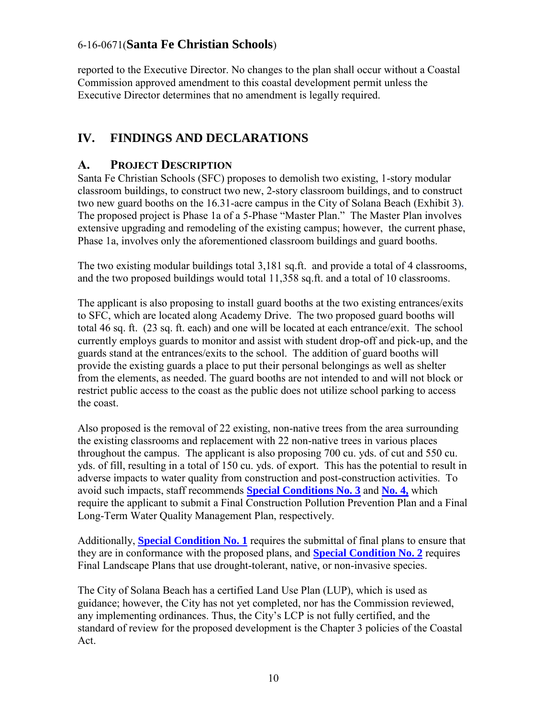reported to the Executive Director. No changes to the plan shall occur without a Coastal Commission approved amendment to this coastal development permit unless the Executive Director determines that no amendment is legally required.

#### <span id="page-9-0"></span>**IV. FINDINGS AND DECLARATIONS**

#### <span id="page-9-1"></span>**A. PROJECT DESCRIPTION**

Santa Fe Christian Schools (SFC) proposes to demolish two existing, 1-story modular classroom buildings, to construct two new, 2-story classroom buildings, and to construct two new guard booths on the 16.31-acre campus in the City of Solana Beach (Exhibit 3). The proposed project is Phase 1a of a 5-Phase "Master Plan." The Master Plan involves extensive upgrading and remodeling of the existing campus; however, the current phase, Phase 1a, involves only the aforementioned classroom buildings and guard booths.

The two existing modular buildings total 3,181 sq.ft. and provide a total of 4 classrooms, and the two proposed buildings would total 11,358 sq.ft. and a total of 10 classrooms.

The applicant is also proposing to install guard booths at the two existing entrances/exits to SFC, which are located along Academy Drive. The two proposed guard booths will total 46 sq. ft. (23 sq. ft. each) and one will be located at each entrance/exit. The school currently employs guards to monitor and assist with student drop-off and pick-up, and the guards stand at the entrances/exits to the school. The addition of guard booths will provide the existing guards a place to put their personal belongings as well as shelter from the elements, as needed. The guard booths are not intended to and will not block or restrict public access to the coast as the public does not utilize school parking to access the coast.

Also proposed is the removal of 22 existing, non-native trees from the area surrounding the existing classrooms and replacement with 22 non-native trees in various places throughout the campus. The applicant is also proposing 700 cu. yds. of cut and 550 cu. yds. of fill, resulting in a total of 150 cu. yds. of export. This has the potential to result in adverse impacts to water quality from construction and post-construction activities. To avoid such impacts, staff recommends **Special Conditions No. 3** and **No. 4,** which require the applicant to submit a Final Construction Pollution Prevention Plan and a Final Long-Term Water Quality Management Plan, respectively.

Additionally, **[Special Condition No. 1](#page-3-3)** requires the submittal of final plans to ensure that they are in conformance with the proposed plans, and **[Special Condition No. 2](#page-4-0)** requires Final Landscape Plans that use drought-tolerant, native, or non-invasive species.

The City of Solana Beach has a certified Land Use Plan (LUP), which is used as guidance; however, the City has not yet completed, nor has the Commission reviewed, any implementing ordinances. Thus, the City's LCP is not fully certified, and the standard of review for the proposed development is the Chapter 3 policies of the Coastal Act.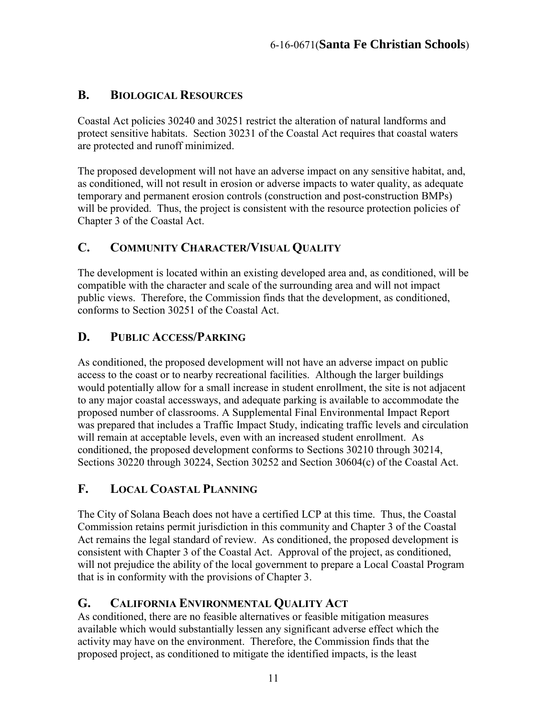#### <span id="page-10-0"></span>**B. BIOLOGICAL RESOURCES**

Coastal Act policies 30240 and 30251 restrict the alteration of natural landforms and protect sensitive habitats. Section 30231 of the Coastal Act requires that coastal waters are protected and runoff minimized.

The proposed development will not have an adverse impact on any sensitive habitat, and, as conditioned, will not result in erosion or adverse impacts to water quality, as adequate temporary and permanent erosion controls (construction and post-construction BMPs) will be provided. Thus, the project is consistent with the resource protection policies of Chapter 3 of the Coastal Act.

#### <span id="page-10-1"></span>**C. COMMUNITY CHARACTER/VISUAL QUALITY**

The development is located within an existing developed area and, as conditioned, will be compatible with the character and scale of the surrounding area and will not impact public views. Therefore, the Commission finds that the development, as conditioned, conforms to Section 30251 of the Coastal Act.

#### <span id="page-10-2"></span>**D. PUBLIC ACCESS/PARKING**

As conditioned, the proposed development will not have an adverse impact on public access to the coast or to nearby recreational facilities. Although the larger buildings would potentially allow for a small increase in student enrollment, the site is not adjacent to any major coastal accessways, and adequate parking is available to accommodate the proposed number of classrooms. A Supplemental Final Environmental Impact Report was prepared that includes a Traffic Impact Study, indicating traffic levels and circulation will remain at acceptable levels, even with an increased student enrollment. As conditioned, the proposed development conforms to Sections 30210 through 30214, Sections 30220 through 30224, Section 30252 and Section 30604(c) of the Coastal Act.

#### <span id="page-10-3"></span>**F. LOCAL COASTAL PLANNING**

The City of Solana Beach does not have a certified LCP at this time. Thus, the Coastal Commission retains permit jurisdiction in this community and Chapter 3 of the Coastal Act remains the legal standard of review. As conditioned, the proposed development is consistent with Chapter 3 of the Coastal Act. Approval of the project, as conditioned, will not prejudice the ability of the local government to prepare a Local Coastal Program that is in conformity with the provisions of Chapter 3.

#### <span id="page-10-4"></span>**G. CALIFORNIA ENVIRONMENTAL QUALITY ACT**

As conditioned, there are no feasible alternatives or feasible mitigation measures available which would substantially lessen any significant adverse effect which the activity may have on the environment. Therefore, the Commission finds that the proposed project, as conditioned to mitigate the identified impacts, is the least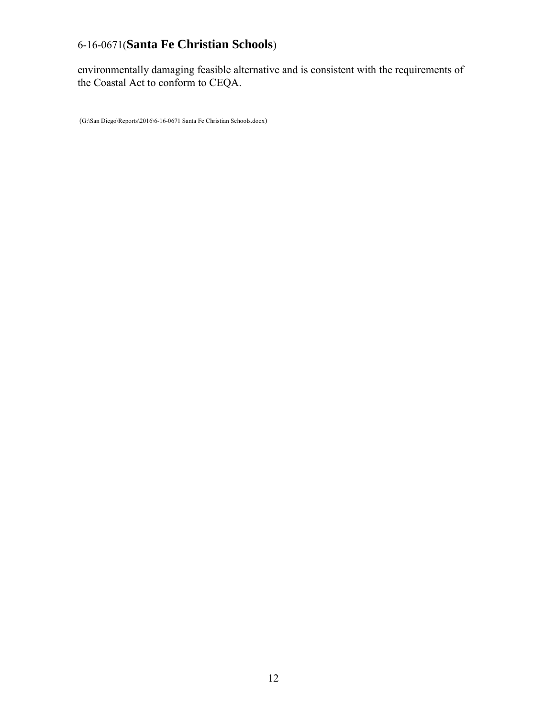environmentally damaging feasible alternative and is consistent with the requirements of the Coastal Act to conform to CEQA.

(G:\San Diego\Reports\2016\6-16-0671 Santa Fe Christian Schools.docx)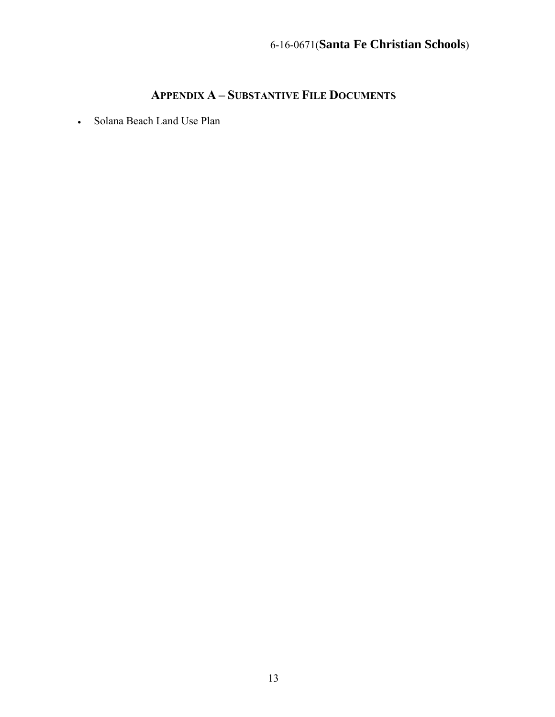#### **APPENDIX A – SUBSTANTIVE FILE DOCUMENTS**

Solana Beach Land Use Plan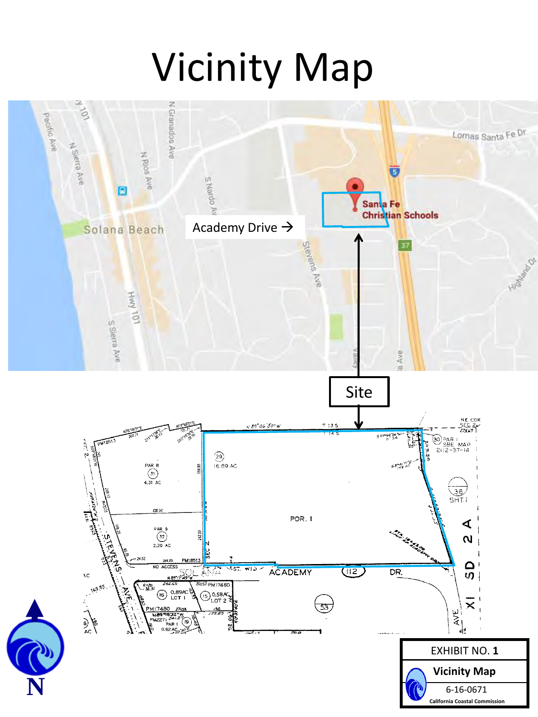# Vicinity Map

<span id="page-13-0"></span>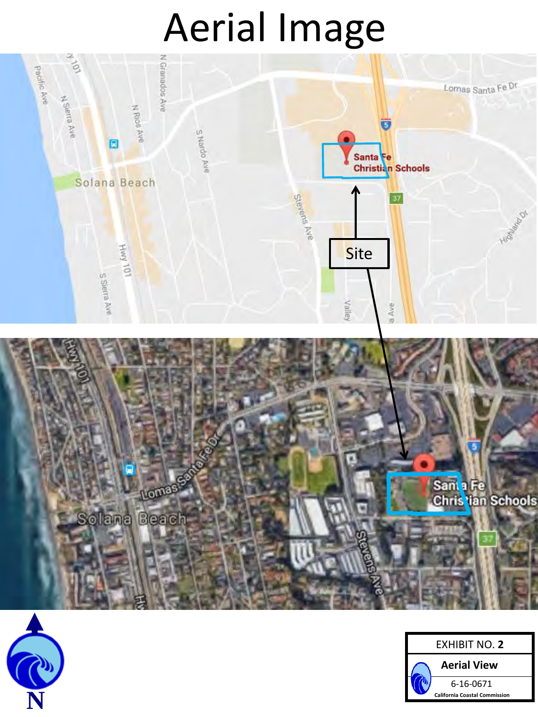# Aerial Image

<span id="page-14-0"></span>